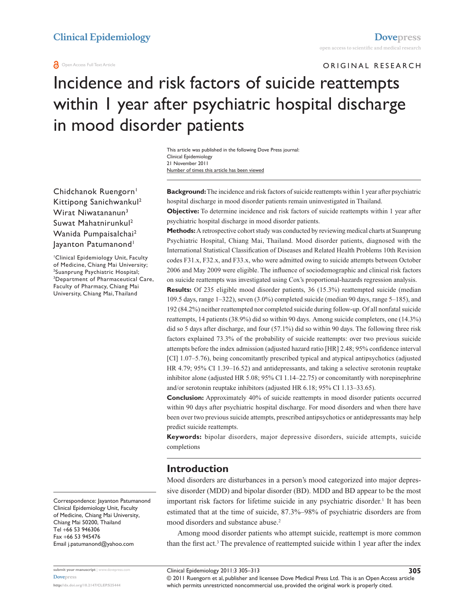#### **a** Open Access Full Text Article

ORIGINAL RESEARCH

# Incidence and risk factors of suicide reattempts within I year after psychiatric hospital discharge in mood disorder patients

Number of times this article has been viewed This article was published in the following Dove Press journal: Clinical Epidemiology 21 November 2011

Chidchanok Ruengorn<sup>1</sup> Kittipong Sanichwankul2 Wirat Niwatananun<sup>3</sup> Suwat Mahatnirunkul2 Wanida Pumpaisalchai2 Jayanton Patumanond<sup>1</sup>

1 Clinical Epidemiology Unit, Faculty of Medicine, Chiang Mai University; 2 Suanprung Psychiatric Hospital; 3 Department of Pharmaceutical Care, Faculty of Pharmacy, Chiang Mai University, Chiang Mai, Thailand

Correspondence: Jayanton Patumanond Clinical Epidemiology Unit, Faculty of Medicine, Chiang Mai University, Chiang Mai 50200, Thailand Tel +66 53 946306 Fax +66 53 945476 Email [j.patumanond@yahoo.com](mailto:j.patumanond@yahoo.com)

**Background:** The incidence and risk factors of suicide reattempts within 1 year after psychiatric hospital discharge in mood disorder patients remain uninvestigated in Thailand.

**Objective:** To determine incidence and risk factors of suicide reattempts within 1 year after psychiatric hospital discharge in mood disorder patients.

**Methods:** A retrospective cohort study was conducted by reviewing medical charts at Suanprung Psychiatric Hospital, Chiang Mai, Thailand. Mood disorder patients, diagnosed with the International Statistical Classification of Diseases and Related Health Problems 10th Revision codes F31.x, F32.x, and F33.x, who were admitted owing to suicide attempts between October 2006 and May 2009 were eligible. The influence of sociodemographic and clinical risk factors on suicide reattempts was investigated using Cox's proportional-hazards regression analysis.

**Results:** Of 235 eligible mood disorder patients, 36 (15.3%) reattempted suicide (median 109.5 days, range 1–322), seven (3.0%) completed suicide (median 90 days, range 5–185), and 192 (84.2%) neither reattempted nor completed suicide during follow-up. Of all nonfatal suicide reattempts, 14 patients (38.9%) did so within 90 days. Among suicide completers, one (14.3%) did so 5 days after discharge, and four (57.1%) did so within 90 days. The following three risk factors explained 73.3% of the probability of suicide reattempts: over two previous suicide attempts before the index admission (adjusted hazard ratio [HR] 2.48; 95% confidence interval [CI] 1.07–5.76), being concomitantly prescribed typical and atypical antipsychotics (adjusted HR 4.79; 95% CI 1.39–16.52) and antidepressants, and taking a selective serotonin reuptake inhibitor alone (adjusted HR 5.08; 95% CI 1.14–22.75) or concomitantly with norepinephrine and/or serotonin reuptake inhibitors (adjusted HR 6.18; 95% CI 1.13–33.65).

**Conclusion:** Approximately 40% of suicide reattempts in mood disorder patients occurred within 90 days after psychiatric hospital discharge. For mood disorders and when there have been over two previous suicide attempts, prescribed antipsychotics or antidepressants may help predict suicide reattempts.

**Keywords:** bipolar disorders, major depressive disorders, suicide attempts, suicide completions

# **Introduction**

Mood disorders are disturbances in a person's mood categorized into major depressive disorder (MDD) and bipolar disorder (BD). MDD and BD appear to be the most important risk factors for lifetime suicide in any psychiatric disorder.<sup>1</sup> It has been estimated that at the time of suicide, 87.3%–98% of psychiatric disorders are from mood disorders and substance abuse.<sup>2</sup>

Among mood disorder patients who attempt suicide, reattempt is more common than the first act.<sup>3</sup> The prevalence of reattempted suicide within 1 year after the index

Clinical Epidemiology 2011:3 305–313

© 2011 Ruengorn et al, publisher and licensee Dove Medical Press Ltd. This is an Open Access article which permits unrestricted noncommercial use, provided the original work is properly cited.

**305**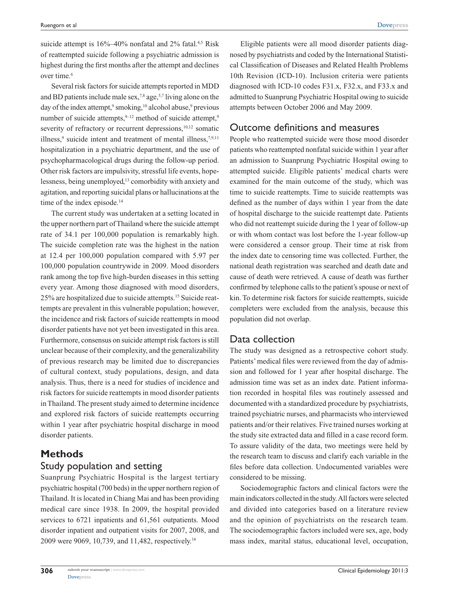suicide attempt is  $16\% - 40\%$  nonfatal and  $2\%$  fatal.<sup>4,5</sup> Risk of reattempted suicide following a psychiatric admission is highest during the first months after the attempt and declines over time.<sup>6</sup>

Several risk factors for suicide attempts reported in MDD and BD patients include male  $sex,7,8$  age,  $5,7$  living alone on the day of the index attempt,<sup>9</sup> smoking,<sup>10</sup> alcohol abuse,<sup>9</sup> previous number of suicide attempts,  $9-12$  method of suicide attempt,  $9$ severity of refractory or recurrent depressions,<sup>10,12</sup> somatic illness,<sup>9</sup> suicide intent and treatment of mental illness,<sup>7,9,11</sup> hospitalization in a psychiatric department, and the use of psychopharmacological drugs during the follow-up period. Other risk factors are impulsivity, stressful life events, hopelessness, being unemployed,<sup>13</sup> comorbidity with anxiety and agitation, and reporting suicidal plans or hallucinations at the time of the index episode.<sup>14</sup>

The current study was undertaken at a setting located in the upper northern part of Thailand where the suicide attempt rate of 34.1 per 100,000 population is remarkably high. The suicide completion rate was the highest in the nation at 12.4 per 100,000 population compared with 5.97 per 100,000 population countrywide in 2009. Mood disorders rank among the top five high-burden diseases in this setting every year. Among those diagnosed with mood disorders, 25% are hospitalized due to suicide attempts.15 Suicide reattempts are prevalent in this vulnerable population; however, the incidence and risk factors of suicide reattempts in mood disorder patients have not yet been investigated in this area. Furthermore, consensus on suicide attempt risk factors is still unclear because of their complexity, and the generalizability of previous research may be limited due to discrepancies of cultural context, study populations, design, and data analysis. Thus, there is a need for studies of incidence and risk factors for suicide reattempts in mood disorder patients in Thailand. The present study aimed to determine incidence and explored risk factors of suicide reattempts occurring within 1 year after psychiatric hospital discharge in mood disorder patients.

## **Methods** Study population and setting

Suanprung Psychiatric Hospital is the largest tertiary psychiatric hospital (700 beds) in the upper northern region of Thailand. It is located in Chiang Mai and has been providing medical care since 1938. In 2009, the hospital provided services to 6721 inpatients and 61,561 outpatients. Mood disorder inpatient and outpatient visits for 2007, 2008, and 2009 were 9069, 10,739, and 11,482, respectively.16

Eligible patients were all mood disorder patients diagnosed by psychiatrists and coded by the International Statistical Classification of Diseases and Related Health Problems 10th Revision (ICD-10). Inclusion criteria were patients diagnosed with ICD-10 codes F31.x, F32.x, and F33.x and admitted to Suanprung Psychiatric Hospital owing to suicide attempts between October 2006 and May 2009.

### Outcome definitions and measures

People who reattempted suicide were those mood disorder patients who reattempted nonfatal suicide within 1 year after an admission to Suanprung Psychiatric Hospital owing to attempted suicide. Eligible patients' medical charts were examined for the main outcome of the study, which was time to suicide reattempts. Time to suicide reattempts was defined as the number of days within 1 year from the date of hospital discharge to the suicide reattempt date. Patients who did not reattempt suicide during the 1 year of follow-up or with whom contact was lost before the 1-year follow-up were considered a censor group. Their time at risk from the index date to censoring time was collected. Further, the national death registration was searched and death date and cause of death were retrieved. A cause of death was further confirmed by telephone calls to the patient's spouse or next of kin. To determine risk factors for suicide reattempts, suicide completers were excluded from the analysis, because this population did not overlap.

#### Data collection

The study was designed as a retrospective cohort study. Patients' medical files were reviewed from the day of admission and followed for 1 year after hospital discharge. The admission time was set as an index date. Patient information recorded in hospital files was routinely assessed and documented with a standardized procedure by psychiatrists, trained psychiatric nurses, and pharmacists who interviewed patients and/or their relatives. Five trained nurses working at the study site extracted data and filled in a case record form. To assure validity of the data, two meetings were held by the research team to discuss and clarify each variable in the files before data collection. Undocumented variables were considered to be missing.

Sociodemographic factors and clinical factors were the main indicators collected in the study. All factors were selected and divided into categories based on a literature review and the opinion of psychiatrists on the research team. The sociodemographic factors included were sex, age, body mass index, marital status, educational level, occupation,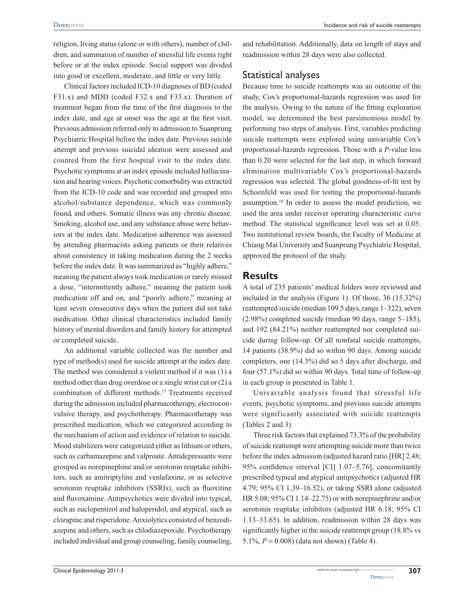Incidence and risk of suicide reattempts

religion, living status (alone or with others), number of children, and summation of number of stressful life events right before or at the index episode. Social support was divided into good or excellent, moderate, and little or very little.

Clinical factors included ICD-10 diagnoses of BD (coded F31.x) and MDD (coded F32.x and F33.x). Duration of treatment began from the time of the first diagnosis to the index date, and age at onset was the age at the first visit. Previous admission referred only to admission to Suanprung Psychiatric Hospital before the index date. Previous suicide attempt and previous suicidal ideation were assessed and counted from the first hospital visit to the index date. Psychotic symptoms at an index episode included hallucination and hearing voices. Psychotic comorbidity was extracted from the ICD-10 code and was recorded and grouped into alcohol/substance dependence, which was commonly found, and others. Somatic illness was any chronic disease. Smoking, alcohol use, and any substance abuse were behaviors at the index date. Medication adherence was assessed by attending pharmacists asking patients or their relatives about consistency in taking medication during the 2 weeks before the index date. It was summarized as "highly adhere," meaning the patient always took medication or rarely missed a dose, "intermittently adhere," meaning the patient took medication off and on, and "poorly adhere," meaning at least seven consecutive days when the patient did not take medication. Other clinical characteristics included family history of mental disorders and family history for attempted or completed suicide.

An additional variable collected was the number and type of method(s) used for suicide attempt at the index date. The method was considered a violent method if it was (1) a method other than drug overdose or a single wrist cut or (2) a combination of different methods.17 Treatments received during the admission included pharmacotherapy, electroconvulsive therapy, and psychotherapy. Pharmacotherapy was prescribed medication, which we categorized according to the mechanism of action and evidence of relation to suicide. Mood stabilizers were categorized either as lithium or others, such as carbamazepine and valproate. Antidepressants were grouped as norepinephine and/or serotonin reuptake inhibitors, such as amitriptyline and venlafaxine, or as selective serotonin reuptake inhibitors (SSRIs), such as fluoxitine and fluvoxamine. Antipsychotics were divided into typical, such as zuclopentizol and haloperidol, and atypical, such as clozapine and risperidone. Anxiolytics consisted of benzodiazepine and others, such as chlodiazepoxide. Psychotherapy included individual and group counseling, family counseling,

and rehabilitation. Additionally, data on length of stays and readmission within 28 days were also collected.

## Statistical analyses

Because time to suicide reattempts was an outcome of the study, Cox's proportional-hazards regression was used for the analysis. Owing to the nature of the fitting exploration model, we determined the best parsimonious model by performing two steps of analysis. First, variables predicting suicide reattempts were explored using univariable Cox's proportional-hazards regression. Those with a *P*-value less than 0.20 were selected for the last step, in which forward elimination multivariable Cox's proportional-hazards regression was selected. The global goodness-of-fit test by Schoenfeld was used for testing the proportional-hazards assumption.18 In order to assess the model prediction, we used the area under receiver operating characteristic curve method. The statistical significance level was set at 0.05. Two institutional review boards, the Faculty of Medicine at Chiang Mai University and Suanprung Psychiatric Hospital, approved the protocol of the study.

## **Results**

A total of 235 patients' medical folders were reviewed and included in the analysis (Figure 1). Of those, 36 (15.32%) reattempted suicide (median 109.5 days, range 1–322), seven (2.98%) completed suicide (median 90 days, range 5–185), and 192 (84.21%) neither reattempted nor completed suicide during follow-up. Of all nonfatal suicide reattempts, 14 patients (38.9%) did so within 90 days. Among suicide completers, one (14.3%) did so 5 days after discharge, and four (57.1%) did so within 90 days. Total time of follow-up in each group is presented in Table 1.

Univariable analysis found that stressful life events, psychotic symptoms, and previous suicide attempts were significantly associated with suicide reattempts (Tables 2 and 3).

Three risk factors that explained 73.3% of the probability of suicide reattempt were attempting suicide more than twice before the index admission (adjusted hazard ratio [HR] 2.48; 95% confidence interval [CI] 1.07–5.76], concomitantly prescribed typical and atypical antipsychotics (adjusted HR 4.79; 95% CI 1.39–16.52), or taking SSRI alone (adjusted HR 5.08; 95% CI 1.14–22.75) or with norepinephrine and/or serotonin reuptake inhibitors (adjusted HR 6.18; 95% CI 1.13–33.65). In addition, readmission within 28 days was significantly higher in the suicide reattempt group (18.8% vs 5.1%, *P* = 0.008) (data not shown) (Table 4).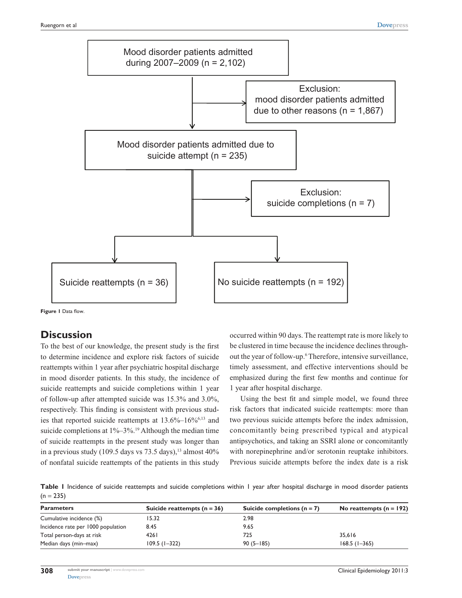

**Figure 1** Data flow.

## **Discussion**

To the best of our knowledge, the present study is the first to determine incidence and explore risk factors of suicide reattempts within 1 year after psychiatric hospital discharge in mood disorder patients. In this study, the incidence of suicide reattempts and suicide completions within 1 year of follow-up after attempted suicide was 15.3% and 3.0%, respectively. This finding is consistent with previous studies that reported suicide reattempts at 13.6%–16%6,13 and suicide completions at  $1\% - 3\%$ .<sup>19</sup> Although the median time of suicide reattempts in the present study was longer than in a previous study (109.5 days vs  $73.5$  days),<sup>13</sup> almost  $40\%$ of nonfatal suicide reattempts of the patients in this study occurred within 90 days. The reattempt rate is more likely to be clustered in time because the incidence declines throughout the year of follow-up.<sup>6</sup> Therefore, intensive surveillance, timely assessment, and effective interventions should be emphasized during the first few months and continue for 1 year after hospital discharge.

Using the best fit and simple model, we found three risk factors that indicated suicide reattempts: more than two previous suicide attempts before the index admission, concomitantly being prescribed typical and atypical antipsychotics, and taking an SSRI alone or concomitantly with norepinephrine and/or serotonin reuptake inhibitors. Previous suicide attempts before the index date is a risk

Table I Incidence of suicide reattempts and suicide completions within I year after hospital discharge in mood disorder patients  $(n = 235)$ 

| <b>Parameters</b>                  | Suicide reattempts $(n = 36)$ | Suicide completions $(n = 7)$ | No reattempts $(n = 192)$ |
|------------------------------------|-------------------------------|-------------------------------|---------------------------|
| Cumulative incidence (%)           | 15.32                         | 2.98                          |                           |
| Incidence rate per 1000 population | 8.45                          | 9.65                          |                           |
| Total person-days at risk          | 4261                          | 725                           | 35.616                    |
| Median days (min-max)              | $109.5(1 - 322)$              | $90(5 - 185)$                 | $168.5(1-365)$            |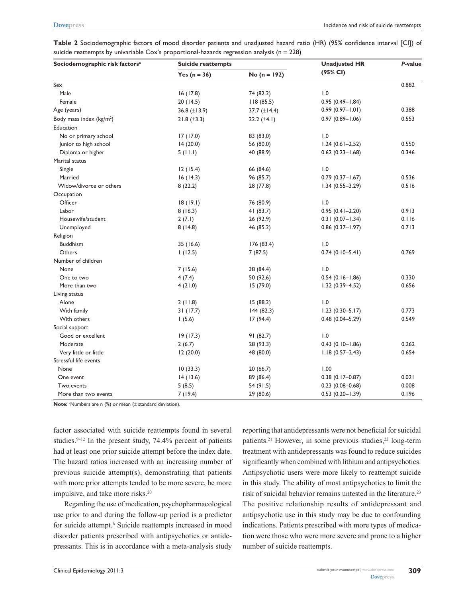**Table 2** Sociodemographic factors of mood disorder patients and unadjusted hazard ratio (HR) (95% confidence interval [CI]) of suicide reattempts by univariable Cox's proportional-hazards regression analysis ( $n = 228$ )

| Sociodemographic risk factors <sup>a</sup> | <b>Suicide reattempts</b> |                   | <b>Unadjusted HR</b> | P-value |
|--------------------------------------------|---------------------------|-------------------|----------------------|---------|
|                                            | Yes $(n = 36)$            | No $(n = 192)$    | (95% CI)             |         |
| Sex                                        |                           |                   |                      | 0.882   |
| Male                                       | 16(17.8)                  | 74 (82.2)         | 1.0                  |         |
| Female                                     | 20(14.5)                  | 118(85.5)         | $0.95(0.49 - 1.84)$  |         |
| Age (years)                                | 36.8 $(\pm 13.9)$         | 37.7 $(\pm 14.4)$ | $0.99(0.97 - 1.01)$  | 0.388   |
| Body mass index (kg/m <sup>2</sup> )       | $21.8 (\pm 3.3)$          | 22.2 $(\pm 4.1)$  | $0.97(0.89 - 1.06)$  | 0.553   |
| Education                                  |                           |                   |                      |         |
| No or primary school                       | 17(17.0)                  | 83 (83.0)         | 1.0                  |         |
| Junior to high school                      | 14(20.0)                  | 56 (80.0)         | $1.24(0.61 - 2.52)$  | 0.550   |
| Diploma or higher                          | 5(11.1)                   | 40 (88.9)         | $0.62$ (0.23-1.68)   | 0.346   |
| Marital status                             |                           |                   |                      |         |
| Single                                     | 12(15.4)                  | 66 (84.6)         | 1.0                  |         |
| Married                                    | 16(14.3)                  | 96 (85.7)         | $0.79(0.37 - 1.67)$  | 0.536   |
| Widow/divorce or others                    | 8(22.2)                   | 28 (77.8)         | $1.34(0.55 - 3.29)$  | 0.516   |
| Occupation                                 |                           |                   |                      |         |
| Officer                                    | 18(19.1)                  | 76 (80.9)         | 1.0                  |         |
| Labor                                      | 8(16.3)                   | 41(83.7)          | $0.95(0.41 - 2.20)$  | 0.913   |
| Housewife/student                          | 2(7.1)                    | 26 (92.9)         | $0.31(0.07 - 1.34)$  | 0.116   |
| Unemployed                                 | 8(14.8)                   | 46 (85.2)         | $0.86(0.37 - 1.97)$  | 0.713   |
| Religion                                   |                           |                   |                      |         |
| <b>Buddhism</b>                            | 35(16.6)                  | 176(83.4)         | 1.0                  |         |
| Others                                     | 1(12.5)                   | 7(87.5)           | $0.74(0.10 - 5.41)$  | 0.769   |
| Number of children                         |                           |                   |                      |         |
| None                                       | 7(15.6)                   | 38 (84.4)         | 1.0                  |         |
| One to two                                 | 4(7.4)                    | 50 (92.6)         | $0.54(0.16 - 1.86)$  | 0.330   |
| More than two                              | 4(21.0)                   | 15(79.0)          | $1.32(0.39 - 4.52)$  | 0.656   |
| Living status                              |                           |                   |                      |         |
| Alone                                      | 2(11.8)                   | 15(88.2)          | 1.0                  |         |
| With family                                | 31(17.7)                  | 144(82.3)         | $1.23(0.30 - 5.17)$  | 0.773   |
| With others                                | 1(5.6)                    | 17(94.4)          | $0.48(0.04 - 5.29)$  | 0.549   |
| Social support                             |                           |                   |                      |         |
| Good or excellent                          | 19(17.3)                  | 91 (82.7)         | 1.0                  |         |
| Moderate                                   | 2(6.7)                    | 28 (93.3)         | $0.43(0.10 - 1.86)$  | 0.262   |
| Very little or little                      | 12(20.0)                  | 48 (80.0)         | $1.18(0.57 - 2.43)$  | 0.654   |
| Stressful life events                      |                           |                   |                      |         |
| None                                       | 10(33.3)                  | 20(66.7)          | 1.00                 |         |
| One event                                  | 14(13.6)                  | 89 (86.4)         | $0.38(0.17 - 0.87)$  | 0.021   |
| Two events                                 | 5(8.5)                    | 54 (91.5)         | $0.23(0.08 - 0.68)$  | 0.008   |
| More than two events                       | 7(19.4)                   | 29 (80.6)         | $0.53(0.20 - 1.39)$  | 0.196   |

**Note:** <sup>a</sup>Numbers are n (%) or mean (± standard deviation).

factor associated with suicide reattempts found in several studies. $9-12$  In the present study, 74.4% percent of patients had at least one prior suicide attempt before the index date. The hazard ratios increased with an increasing number of previous suicide attempt(s), demonstrating that patients with more prior attempts tended to be more severe, be more impulsive, and take more risks.<sup>20</sup>

Regarding the use of medication, psychopharmacological use prior to and during the follow-up period is a predictor for suicide attempt.<sup>6</sup> Suicide reattempts increased in mood disorder patients prescribed with antipsychotics or antidepressants. This is in accordance with a meta-analysis study

reporting that antidepressants were not beneficial for suicidal patients.<sup>21</sup> However, in some previous studies,<sup>22</sup> long-term treatment with antidepressants was found to reduce suicides significantly when combined with lithium and antipsychotics. Antipsychotic users were more likely to reattempt suicide in this study. The ability of most antipsychotics to limit the risk of suicidal behavior remains untested in the literature.23 The positive relationship results of antidepressant and antipsychotic use in this study may be due to confounding indications. Patients prescribed with more types of medication were those who were more severe and prone to a higher number of suicide reattempts.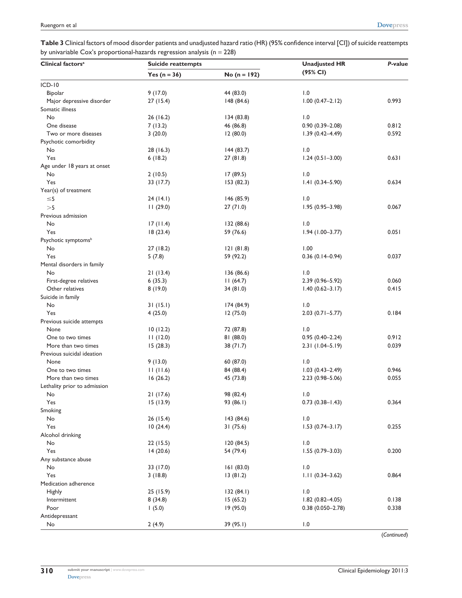**Table 3** Clinical factors of mood disorder patients and unadjusted hazard ratio (HR) (95% confidence interval [CI]) of suicide reattempts by univariable Cox's proportional-hazards regression analysis ( $n = 228$ )

| Clinical factors <sup>a</sup>   | <b>Suicide reattempts</b> |                | <b>Unadjusted HR</b> | P-value |
|---------------------------------|---------------------------|----------------|----------------------|---------|
|                                 | Yes $(n = 36)$            | No $(n = 192)$ | (95% CI)             |         |
| $ICD-10$                        |                           |                |                      |         |
| Bipolar                         | 9(17.0)                   | 44 (83.0)      | 1.0                  |         |
| Major depressive disorder       | 27(15.4)                  | 148 (84.6)     | $1.00(0.47 - 2.12)$  | 0.993   |
| Somatic illness                 |                           |                |                      |         |
| No                              | 26(16.2)                  | 134(83.8)      | 1.0                  |         |
| One disease                     | 7(13.2)                   | 46 (86.8)      | $0.90(0.39 - 2.08)$  | 0.812   |
| Two or more diseases            | 3(20.0)                   | 12(80.0)       | $1.39(0.42 - 4.49)$  | 0.592   |
| Psychotic comorbidity           |                           |                |                      |         |
| No                              | 28(16.3)                  | 144(83.7)      | 1.0                  |         |
| Yes                             | 6(18.2)                   | 27(81.8)       | $1.24(0.51 - 3.00)$  | 0.631   |
| Age under 18 years at onset     |                           |                |                      |         |
| No                              | 2(10.5)                   | 17(89.5)       | 1.0                  |         |
| Yes                             | 33 (17.7)                 | 153 (82.3)     | $1.41(0.34 - 5.90)$  | 0.634   |
| Year(s) of treatment            |                           |                |                      |         |
| $\leq$ 5                        | 24(14.1)                  | 146 (85.9)     | 1.0                  |         |
| >5                              | 11(29.0)                  | 27(71.0)       | $1.95(0.95 - 3.98)$  | 0.067   |
| Previous admission              |                           |                |                      |         |
| No                              | 17(11.4)                  | 132 (88.6)     | 1.0                  |         |
| Yes                             |                           |                |                      | 0.051   |
| Psychotic symptoms <sup>b</sup> | 18(23.4)                  | 59 (76.6)      | $1.94(1.00 - 3.77)$  |         |
|                                 |                           |                |                      |         |
| No                              | 27(18.2)                  | 121(81.8)      | 1.00                 |         |
| Yes                             | 5(7.8)                    | 59 (92.2)      | $0.36(0.14 - 0.94)$  | 0.037   |
| Mental disorders in family      |                           |                |                      |         |
| No                              | 21(13.4)                  | 136 (86.6)     | 1.0                  |         |
| First-degree relatives          | 6(35.3)                   | 11(64.7)       | 2.39 (0.96-5.92)     | 0.060   |
| Other relatives                 | 8(19.0)                   | 34 (81.0)      | $1.40(0.62 - 3.17)$  | 0.415   |
| Suicide in family               |                           |                |                      |         |
| No                              | 31(15.1)                  | 174 (84.9)     | 1.0                  |         |
| Yes                             | 4(25.0)                   | 12(75.0)       | $2.03(0.71 - 5.77)$  | 0.184   |
| Previous suicide attempts       |                           |                |                      |         |
| None                            | 10(12.2)                  | 72 (87.8)      | 1.0                  |         |
| One to two times                | 11(12.0)                  | 81 (88.0)      | $0.95(0.40-2.24)$    | 0.912   |
| More than two times             | 15(28.3)                  | 38 (71.7)      | $2.31(1.04 - 5.19)$  | 0.039   |
| Previous suicidal ideation      |                           |                |                      |         |
| None                            | 9(13.0)                   | 60 (87.0)      | 1.0                  |         |
| One to two times                | 11(11.6)                  | 84 (88.4)      | $1.03(0.43 - 2.49)$  | 0.946   |
| More than two times             | 16(26.2)                  | 45 (73.8)      | $2.23(0.98 - 5.06)$  | 0.055   |
| Lethality prior to admission    |                           |                |                      |         |
| No                              | 21(17.6)                  | 98 (82.4)      | 1.0                  |         |
| Yes                             | 15(13.9)                  | 93 (86.1)      | $0.73(0.38 - 1.43)$  | 0.364   |
| Smoking                         |                           |                |                      |         |
| No                              | 26(15.4)                  | 143 (84.6)     | 1.0                  |         |
| Yes                             | 10(24.4)                  | 31 (75.6)      | $1.53(0.74 - 3.17)$  | 0.255   |
| Alcohol drinking                |                           |                |                      |         |
| No                              | 22(15.5)                  | 120 (84.5)     | 1.0                  |         |
| Yes                             | 14(20.6)                  | 54 (79.4)      | $1.55(0.79 - 3.03)$  | 0.200   |
| Any substance abuse             |                           |                |                      |         |
| No                              | 33 (17.0)                 | 161(83.0)      | 1.0                  |         |
| Yes                             | 3(18.8)                   | 13(81.2)       | $1.11(0.34 - 3.62)$  | 0.864   |
| Medication adherence            |                           |                |                      |         |
| Highly                          | 25 (15.9)                 | 132(84.1)      | 1.0                  |         |
| Intermittent                    | 8(34.8)                   | 15(65.2)       | $1.82(0.82 - 4.05)$  | 0.138   |
| Poor                            | 1(5.0)                    | 19 (95.0)      | $0.38(0.050 - 2.78)$ | 0.338   |
| Antidepressant                  |                           |                |                      |         |
| No                              | 2(4.9)                    | 39 (95.1)      | 1.0                  |         |

(*Continued*)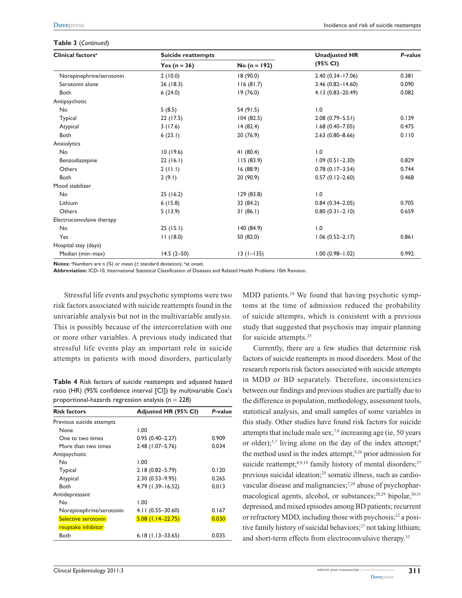#### **Table 3** (*Continued*)

| Clinical factors <sup>a</sup> | Suicide reattempts |                | <b>Unadjusted HR</b> | P-value |
|-------------------------------|--------------------|----------------|----------------------|---------|
|                               | Yes $(n = 36)$     | No $(n = 192)$ | (95% CI)             |         |
| Norepinephrine/serotonin      | 2(10.0)            | 18(90.0)       | $2.40(0.34 - 17.06)$ | 0.381   |
| Serotonin alone               | 26(18.3)           | 116(81.7)      | $3.46(0.82 - 14.60)$ | 0.090   |
| <b>Both</b>                   | 6(24.0)            | 19(76.0)       | 4.13 (0.83-20.49)    | 0.082   |
| Antipsychotic                 |                    |                |                      |         |
| <b>No</b>                     | 5(8.5)             | 54 (91.5)      | 1.0                  |         |
| <b>Typical</b>                | 22(17.5)           | 104(82.5)      | $2.08(0.79 - 5.51)$  | 0.139   |
| Atypical                      | 3(17.6)            | 14(82.4)       | $1.68(0.40 - 7.05)$  | 0.475   |
| Both                          | 6(23.1)            | 20(76.9)       | $2.63(0.80 - 8.66)$  | 0.110   |
| Anxiolytics                   |                    |                |                      |         |
| No                            | 10(19.6)           | 41 $(80.4)$    | 1.0                  |         |
| Benzodiazepine                | 22(16.1)           | 115(83.9)      | $1.09(0.51 - 2.30)$  | 0.829   |
| Others                        | 2(11.1)            | 16(88.9)       | $0.78(0.17 - 3.54)$  | 0.744   |
| Both                          | 2(9.1)             | 20(90.9)       | $0.57(0.12 - 2.60)$  | 0.468   |
| Mood stabilizer               |                    |                |                      |         |
| <b>No</b>                     | 25(16.2)           | 129 (83.8)     | 1.0                  |         |
| Lithium                       | 6(15.8)            | 32 (84.2)      | $0.84(0.34 - 2.05)$  | 0.705   |
| Others                        | 5(13.9)            | 31(86.1)       | $0.80(0.31 - 2.10)$  | 0.659   |
| Electroconvulsive therapy     |                    |                |                      |         |
| No                            | 25(15.1)           | 140 (84.9)     | 1.0                  |         |
| Yes                           | 11(18.0)           | 50 (82.0)      | $1.06(0.52 - 2.17)$  | 0.861   |
| Hospital stay (days)          |                    |                |                      |         |
| Median (min-max)              | $14.5(2 - 50)$     | $13(1-135)$    | $1.00(0.98 - 1.02)$  | 0.992   |

**Notes:** <sup>a</sup>Numbers are n  $(\%)$  or mean  $(\pm$  standard deviation);  $\frac{b}{a}$  at onset.

**Abbreviation:** ICD-10, International Statistical Classification of Diseases and Related Health Problems 10th Revision.

Stressful life events and psychotic symptoms were two risk factors associated with suicide reattempts found in the univariable analysis but not in the multivariable analysis. This is possibly because of the intercorrelation with one or more other variables. A previous study indicated that stressful life events play an important role in suicide attempts in patients with mood disorders, particularly

**Table 4** Risk factors of suicide reattempts and adjusted hazard ratio (HR) (95% confidence interval [CI]) by multivariable Cox's proportional-hazards regression analysis ( $n = 228$ )

| <b>Risk factors</b>       | Adjusted HR (95% CI) | P-value |
|---------------------------|----------------------|---------|
| Previous suicide attempts |                      |         |
| None                      | 1.00                 |         |
| One to two times          | $0.95(0.40 - 2.27)$  | 0.909   |
| More than two times       | 2.48 (1.07-5.76)     | 0.034   |
| Antipsychotic             |                      |         |
| No                        | 1.00                 |         |
| <b>Typical</b>            | 2.18 (0.82-5.79)     | 0.120   |
| Atypical                  | $2.30(0.53 - 9.95)$  | 0.265   |
| Both                      | 4.79 (1.39-16.52)    | 0.013   |
| Antidepressant            |                      |         |
| No                        | 1.00                 |         |
| Norepinephrine/serotonin  | $4.11(0.55 - 30.60)$ | 0.167   |
| Selective serotonin       | $5.08$ (1.14-22.75)  | 0.030   |
| reuptake inhibitor        |                      |         |
| Both                      | $6.18(1.13 - 33.65)$ | 0.035   |

MDD patients.24 We found that having psychotic symptoms at the time of admission reduced the probability of suicide attempts, which is consistent with a previous study that suggested that psychosis may impair planning for suicide attempts.<sup>25</sup>

Currently, there are a few studies that determine risk factors of suicide reattempts in mood disorders. Most of the research reports risk factors associated with suicide attempts in MDD or BD separately. Therefore, inconsistencies between our findings and previous studies are partially due to the difference in population, methodology, assessment tools, statistical analysis, and small samples of some variables in this study. Other studies have found risk factors for suicide attempts that include male  $sex$ ;<sup>7,8</sup> increasing age (ie, 50 years) or older);<sup>5,7</sup> living alone on the day of the index attempt;<sup>9</sup> the method used in the index attempt;  $9,26$  prior admission for suicide reattempt; $8,9,19$  family history of mental disorders; $27$ previous suicidal ideation;25 somatic illness, such as cardiovascular disease and malignancies;<sup>7,28</sup> abuse of psychopharmacological agents, alcohol, or substances;<sup>28,29</sup> bipolar,<sup>30,31</sup> depressed, and mixed episodes among BD patients; recurrent or refractory MDD, including those with psychosis;<sup>32</sup> a positive family history of suicidal behaviors;<sup>27</sup> not taking lithium; and short-term effects from electroconvulsive therapy.<sup>33</sup>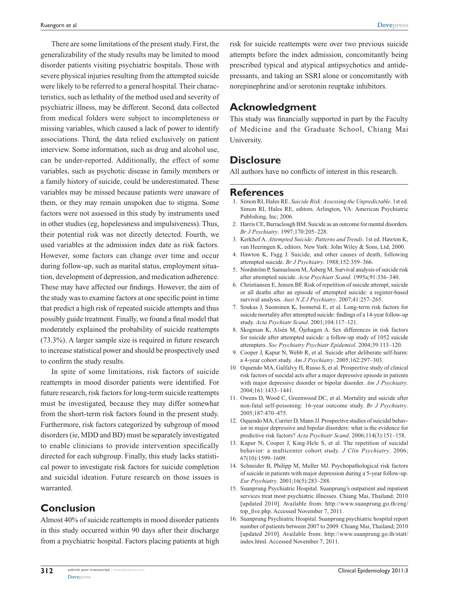There are some limitations of the present study. First, the generalizability of the study results may be limited to mood disorder patients visiting psychiatric hospitals. Those with severe physical injuries resulting from the attempted suicide were likely to be referred to a general hospital. Their characteristics, such as lethality of the method used and severity of psychiatric illness, may be different. Second, data collected from medical folders were subject to incompleteness or missing variables, which caused a lack of power to identify associations. Third, the data relied exclusively on patient interview. Some information, such as drug and alcohol use, can be under-reported. Additionally, the effect of some variables, such as psychotic disease in family members or a family history of suicide, could be underestimated. These variables may be missed because patients were unaware of them, or they may remain unspoken due to stigma. Some factors were not assessed in this study by instruments used in other studies (eg, hopelessness and impulsiveness). Thus, their potential risk was not directly detected. Fourth, we used variables at the admission index date as risk factors. However, some factors can change over time and occur during follow-up, such as marital status, employment situation, development of depression, and medication adherence. These may have affected our findings. However, the aim of the study was to examine factors at one specific point in time that predict a high risk of repeated suicide attempts and thus possibly guide treatment. Finally, we found a final model that moderately explained the probability of suicide reattempts (73.3%). A larger sample size is required in future research to increase statistical power and should be prospectively used to confirm the study results.

In spite of some limitations, risk factors of suicide reattempts in mood disorder patients were identified. For future research, risk factors for long-term suicide reattempts must be investigated, because they may differ somewhat from the short-term risk factors found in the present study. Furthermore, risk factors categorized by subgroup of mood disorders (ie, MDD and BD) must be separately investigated to enable clinicians to provide intervention specifically directed for each subgroup. Finally, this study lacks statistical power to investigate risk factors for suicide completion and suicidal ideation. Future research on those issues is warranted.

# **Conclusion**

Almost 40% of suicide reattempts in mood disorder patients in this study occurred within 90 days after their discharge from a psychiatric hospital. Factors placing patients at high risk for suicide reattempts were over two previous suicide attempts before the index admission, concomitantly being prescribed typical and atypical antipsychotics and antidepressants, and taking an SSRI alone or concomitantly with norepinephrine and/or serotonin reuptake inhibitors.

### **Acknowledgment**

This study was financially supported in part by the Faculty of Medicine and the Graduate School, Chiang Mai University.

### **Disclosure**

All authors have no conflicts of interest in this research.

#### **References**

- 1. Simon RI, Hales RE. *Suicide Risk: Assessing the Unpredictable*. 1st ed. Simon RI, Hales RE, editors. Arlington, VA: American Psychiatric Publishing, Inc; 2006.
- 2. Harris CE, Barraclough BM. Suicide as an outcome for mental disorders. *Br J Psychiatry*. 1997;170:205–228.
- 3. Kerkhof A. *Attempted Suicide: Patterns and Trends*. 1st ed. Hawton K, van Heeringen K, editors. New York: John Wiley & Sons, Ltd; 2000.
- 4. Hawton K, Fagg J. Suicide, and other causes of death, following attempted suicide. *Br J Psychiatry*. 1988;152:359–366.
- 5. Nordström P, Samuelsson M, Åsberg M. Survival analysis of suicide risk after attempted suicide. *Acta Psychiatr Scand*. 1995a;91:336–340.
- 6. Christiansen E, Jensen BF. Risk of repetition of suicide attempt, suicide or all deaths after an episode of attempted suicide: a register-based survival analysis. *Aust N Z J Psychiatry*. 2007;41:257–265.
- 7. Soukas J, Suominen K, Isometsä E, et al. Long-term risk factors for suicide mortality after attempted suicide: findings of a 14-year follow-up study. *Acta Psychiatr Scand*. 2001;104:117–121.
- 8. Skogman K, Alsén M, Öjehagen A. Sex differences in risk factors for suicide after attempted suicide: a follow-up study of 1052 suicide attempters. *Soc Psychiatry Psychiatr Epidemiol*. 2004;39:113–120.
- 9. Cooper J, Kapur N, Webb R, et al. Suicide after deliberate self-harm: a 4-year cohort study. *Am J Psychiatry*. 2005;162:297–303.
- 10. Oquendo MA, Galfalvy H, Russo S, et al. Prospective study of clinical risk factors of suicidal acts after a major depressive episode in patients with major depressive disorder or bipolar disorder. *Am J Psychiatry*. 2004;161:1433–1441.
- 11. Owens D, Wood C, Greenwood DC, et al. Mortality and suicide after non-fatal self-poisoning: 16-year outcome study. *Br J Psychiatry*. 2005;187:470–475.
- 12. Oquendo MA, Currier D, Mann JJ. Prospective studies of suicidal behavior in major depressive and bipolar disorders: what is the evidence for predictive risk factors? *Acta Psychiatr Scand*. 2006;114(3):151–158.
- 13. Kapur N, Cooper J, King-Hele S, et al. The repetition of suicidal behavior: a multicenter cohort study. *J Clin Psychiatry*. 2006; 67(10):1599–1609.
- 14. Schneider B, Philipp M, Muller MJ. Psychopathological risk factors of suicide in patients with major depression during a 5-year follow-up. *Eur Psychiatry*. 2001;16(5):283–288.
- 15. Suanprung Psychiatric Hospital. Suanprung's outpatient and inpatient services treat most psychiatric illnesses. Chiang Mai, Thailand; 2010 [updated 2010]. Available from: [http://www.suanprung.go.th/eng/](http://www.suanprung.go.th/eng/top_five.php) [top\\_five.php.](http://www.suanprung.go.th/eng/top_five.php) Accessed November 7, 2011.
- 16. Suanprung Psychiatric Hospital. Suanprung psychiatric hospital report number of patients between 2007 to 2009. Chiang Mai, Thailand; 2010 [updated 2010]. Available from: [http://www.suanprung.go.th/statt/](http://www.suanprung.go.th/statt/index.html) [index.html.](http://www.suanprung.go.th/statt/index.html) Accessed November 7, 2011.